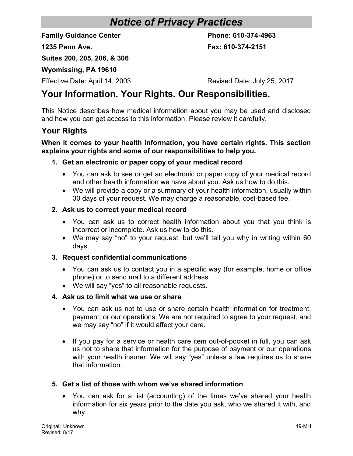# Notice of Privacy Practices

Family Guidance Center **Phone: 610-374-4963** 

1235 Penn Ave. Fax: 610-374-2151

Suites 200, 205, 206, & 306

Wyomissing, PA 19610

Effective Date: April 14, 2003 Revised Date: July 25, 2017

# Your Information. Your Rights. Our Responsibilities.

This Notice describes how medical information about you may be used and disclosed and how you can get access to this information. Please review it carefully.

# Your Rights

#### When it comes to your health information, you have certain rights. This section explains your rights and some of our responsibilities to help you.

# 1. Get an electronic or paper copy of your medical record

- You can ask to see or get an electronic or paper copy of your medical record and other health information we have about you. Ask us how to do this.
- We will provide a copy or a summary of your health information, usually within 30 days of your request. We may charge a reasonable, cost-based fee.

### 2. Ask us to correct your medical record

- You can ask us to correct health information about you that you think is incorrect or incomplete. Ask us how to do this.
- We may say "no" to your request, but we'll tell you why in writing within 60 days.

### 3. Request confidential communications

- You can ask us to contact you in a specific way (for example, home or office phone) or to send mail to a different address.
- We will say "yes" to all reasonable requests.

### 4. Ask us to limit what we use or share

- You can ask us not to use or share certain health information for treatment, payment, or our operations. We are not required to agree to your request, and we may say "no" if it would affect your care.
- If you pay for a service or health care item out-of-pocket in full, you can ask us not to share that information for the purpose of payment or our operations with your health insurer. We will say "yes" unless a law requires us to share that information.

### 5. Get a list of those with whom we've shared information

 You can ask for a list (accounting) of the times we've shared your health information for six years prior to the date you ask, who we shared it with, and why.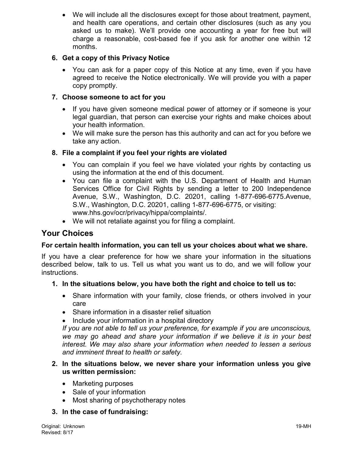We will include all the disclosures except for those about treatment, payment, and health care operations, and certain other disclosures (such as any you asked us to make). We'll provide one accounting a year for free but will charge a reasonable, cost-based fee if you ask for another one within 12 months.

# 6. Get a copy of this Privacy Notice

 You can ask for a paper copy of this Notice at any time, even if you have agreed to receive the Notice electronically. We will provide you with a paper copy promptly.

# 7. Choose someone to act for you

- If you have given someone medical power of attorney or if someone is your legal guardian, that person can exercise your rights and make choices about your health information.
- We will make sure the person has this authority and can act for you before we take any action.

# 8. File a complaint if you feel your rights are violated

- You can complain if you feel we have violated your rights by contacting us using the information at the end of this document.
- You can file a complaint with the U.S. Department of Health and Human Services Office for Civil Rights by sending a letter to 200 Independence Avenue, S.W., Washington, D.C. 20201, calling 1-877-696-6775.Avenue, S.W., Washington, D.C. 20201, calling 1-877-696-6775, or visiting: www.hhs.gov/ocr/privacy/hippa/complaints/.
- We will not retaliate against you for filing a complaint.

# Your Choices

### For certain health information, you can tell us your choices about what we share.

If you have a clear preference for how we share your information in the situations described below, talk to us. Tell us what you want us to do, and we will follow your instructions.

### 1. In the situations below, you have both the right and choice to tell us to:

- Share information with your family, close friends, or others involved in your care
- Share information in a disaster relief situation
- Include your information in a hospital directory

If you are not able to tell us your preference, for example if you are unconscious, we may go ahead and share your information if we believe it is in your best interest. We may also share your information when needed to lessen a serious and imminent threat to health or safety.

#### 2. In the situations below, we never share your information unless you give us written permission:

- Marketing purposes
- Sale of your information
- Most sharing of psychotherapy notes

### 3. In the case of fundraising: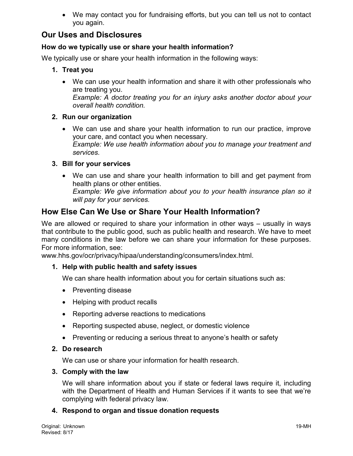We may contact you for fundraising efforts, but you can tell us not to contact you again.

# Our Uses and Disclosures

### How do we typically use or share your health information?

We typically use or share your health information in the following ways:

- 1. Treat you
	- We can use your health information and share it with other professionals who are treating you. Example: A doctor treating you for an injury asks another doctor about your overall health condition.

#### 2. Run our organization

 We can use and share your health information to run our practice, improve your care, and contact you when necessary. Example: We use health information about you to manage your treatment and services.

#### 3. Bill for your services

 We can use and share your health information to bill and get payment from health plans or other entities.

Example: We give information about you to your health insurance plan so it will pay for your services.

# How Else Can We Use or Share Your Health Information?

We are allowed or required to share your information in other ways – usually in ways that contribute to the public good, such as public health and research. We have to meet many conditions in the law before we can share your information for these purposes. For more information, see:

www.hhs.gov/ocr/privacy/hipaa/understanding/consumers/index.html.

### 1. Help with public health and safety issues

We can share health information about you for certain situations such as:

- Preventing disease
- Helping with product recalls
- Reporting adverse reactions to medications
- Reporting suspected abuse, neglect, or domestic violence
- Preventing or reducing a serious threat to anyone's health or safety

#### 2. Do research

We can use or share your information for health research.

#### 3. Comply with the law

We will share information about you if state or federal laws require it, including with the Department of Health and Human Services if it wants to see that we're complying with federal privacy law.

#### 4. Respond to organ and tissue donation requests